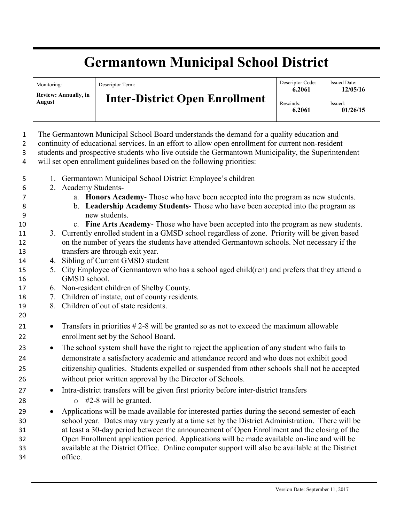## **Germantown Municipal School District**

| Monitoring:<br>Review: Annually, in<br>August | Descriptor Term:<br><b>Inter-District Open Enrollment</b> | Descriptor Code:<br>6.2061 | <b>Issued Date:</b><br>12/05/16 |
|-----------------------------------------------|-----------------------------------------------------------|----------------------------|---------------------------------|
|                                               |                                                           | Rescinds:<br>6.2061        | Issued:<br>01/26/15             |

 The Germantown Municipal School Board understands the demand for a quality education and continuity of educational services. In an effort to allow open enrollment for current non-resident students and prospective students who live outside the Germantown Municipality, the Superintendent will set open enrollment guidelines based on the following priorities: 1. Germantown Municipal School District Employee's children 2. Academy Students- a. **Honors Academy**- Those who have been accepted into the program as new students. b. **Leadership Academy Students**- Those who have been accepted into the program as new students. c. **Fine Arts Academy**- Those who have been accepted into the program as new students. 3. Currently enrolled student in a GMSD school regardless of zone. Priority will be given based on the number of years the students have attended Germantown schools. Not necessary if the transfers are through exit year. 4. Sibling of Current GMSD student 5. City Employee of Germantown who has a school aged child(ren) and prefers that they attend a GMSD school. 6. Non-resident children of Shelby County. 7. Children of instate, out of county residents. 8. Children of out of state residents. 21 • Transfers in priorities #2-8 will be granted so as not to exceed the maximum allowable enrollment set by the School Board. • The school system shall have the right to reject the application of any student who fails to demonstrate a satisfactory academic and attendance record and who does not exhibit good citizenship qualities. Students expelled or suspended from other schools shall not be accepted without prior written approval by the Director of Schools. • Intra-district transfers will be given first priority before inter-district transfers  $\circ$  #2-8 will be granted. 29 • Applications will be made available for interested parties during the second semester of each school year. Dates may vary yearly at a time set by the District Administration. There will be at least a 30-day period between the announcement of Open Enrollment and the closing of the Open Enrollment application period. Applications will be made available on-line and will be available at the District Office. Online computer support will also be available at the District office.